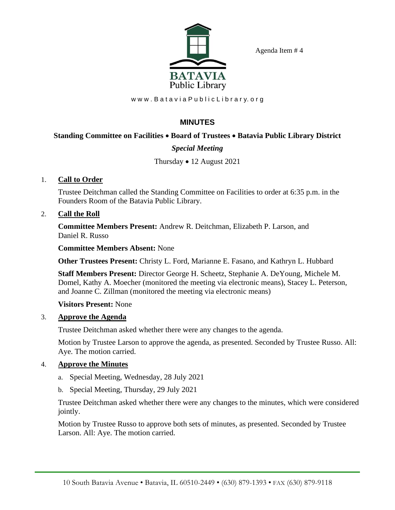Agenda Item # 4



www.Batavia Public Library.org

# **MINUTES**

### **Standing Committee on Facilities** • **Board of Trustees** • **Batavia Public Library District**

## *Special Meeting*

### Thursday • 12 August 2021

### 1. **Call to Order**

Trustee Deitchman called the Standing Committee on Facilities to order at 6:35 p.m. in the Founders Room of the Batavia Public Library.

#### 2. **Call the Roll**

**Committee Members Present:** Andrew R. Deitchman, Elizabeth P. Larson, and Daniel R. Russo

**Committee Members Absent:** None

**Other Trustees Present:** Christy L. Ford, Marianne E. Fasano, and Kathryn L. Hubbard

**Staff Members Present:** Director George H. Scheetz, Stephanie A. DeYoung, Michele M. Domel, Kathy A. Moecher (monitored the meeting via electronic means), Stacey L. Peterson, and Joanne C. Zillman (monitored the meeting via electronic means)

### **Visitors Present:** None

### 3. **Approve the Agenda**

Trustee Deitchman asked whether there were any changes to the agenda.

Motion by Trustee Larson to approve the agenda, as presented. Seconded by Trustee Russo. All: Aye. The motion carried.

### 4. **Approve the Minutes**

- a. Special Meeting, Wednesday, 28 July 2021
- b. Special Meeting, Thursday, 29 July 2021

Trustee Deitchman asked whether there were any changes to the minutes, which were considered jointly.

Motion by Trustee Russo to approve both sets of minutes, as presented. Seconded by Trustee Larson. All: Aye. The motion carried.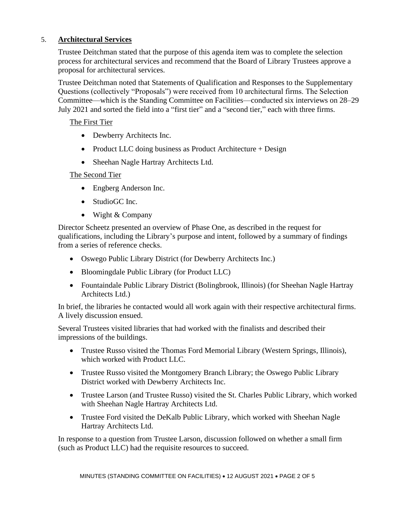## 5. **Architectural Services**

Trustee Deitchman stated that the purpose of this agenda item was to complete the selection process for architectural services and recommend that the Board of Library Trustees approve a proposal for architectural services.

Trustee Deitchman noted that Statements of Qualification and Responses to the Supplementary Questions (collectively "Proposals") were received from 10 architectural firms. The Selection Committee—which is the Standing Committee on Facilities—conducted six interviews on 28–29 July 2021 and sorted the field into a "first tier" and a "second tier," each with three firms.

### The First Tier

- Dewberry Architects Inc.
- Product LLC doing business as Product Architecture + Design
- Sheehan Nagle Hartray Architects Ltd.

## The Second Tier

- Engberg Anderson Inc.
- StudioGC Inc.
- Wight & Company

Director Scheetz presented an overview of Phase One, as described in the request for qualifications, including the Library's purpose and intent, followed by a summary of findings from a series of reference checks.

- Oswego Public Library District (for Dewberry Architects Inc.)
- Bloomingdale Public Library (for Product LLC)
- Fountaindale Public Library District (Bolingbrook, Illinois) (for Sheehan Nagle Hartray Architects Ltd.)

In brief, the libraries he contacted would all work again with their respective architectural firms. A lively discussion ensued.

Several Trustees visited libraries that had worked with the finalists and described their impressions of the buildings.

- Trustee Russo visited the Thomas Ford Memorial Library (Western Springs, Illinois), which worked with Product LLC.
- Trustee Russo visited the Montgomery Branch Library; the Oswego Public Library District worked with Dewberry Architects Inc.
- Trustee Larson (and Trustee Russo) visited the St. Charles Public Library, which worked with Sheehan Nagle Hartray Architects Ltd.
- Trustee Ford visited the DeKalb Public Library, which worked with Sheehan Nagle Hartray Architects Ltd.

In response to a question from Trustee Larson, discussion followed on whether a small firm (such as Product LLC) had the requisite resources to succeed.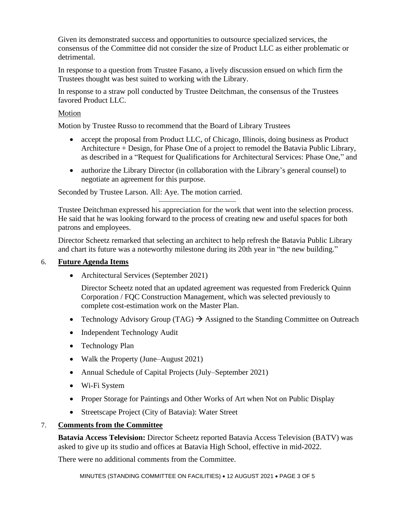Given its demonstrated success and opportunities to outsource specialized services, the consensus of the Committee did not consider the size of Product LLC as either problematic or detrimental.

In response to a question from Trustee Fasano, a lively discussion ensued on which firm the Trustees thought was best suited to working with the Library.

In response to a straw poll conducted by Trustee Deitchman, the consensus of the Trustees favored Product LLC.

### Motion

Motion by Trustee Russo to recommend that the Board of Library Trustees

- accept the proposal from Product LLC, of Chicago, Illinois, doing business as Product Architecture + Design, for Phase One of a project to remodel the Batavia Public Library, as described in a "Request for Qualifications for Architectural Services: Phase One," and
- authorize the Library Director (in collaboration with the Library's general counsel) to negotiate an agreement for this purpose.

Seconded by Trustee Larson. All: Aye. The motion carried.

Trustee Deitchman expressed his appreciation for the work that went into the selection process. He said that he was looking forward to the process of creating new and useful spaces for both patrons and employees.

——————————

Director Scheetz remarked that selecting an architect to help refresh the Batavia Public Library and chart its future was a noteworthy milestone during its 20th year in "the new building."

### 6. **Future Agenda Items**

• Architectural Services (September 2021)

Director Scheetz noted that an updated agreement was requested from Frederick Quinn Corporation / FQC Construction Management, which was selected previously to complete cost-estimation work on the Master Plan.

- Technology Advisory Group (TAG)  $\rightarrow$  Assigned to the Standing Committee on Outreach
- Independent Technology Audit
- Technology Plan
- Walk the Property (June–August 2021)
- Annual Schedule of Capital Projects (July–September 2021)
- Wi-Fi System
- Proper Storage for Paintings and Other Works of Art when Not on Public Display
- Streetscape Project (City of Batavia): Water Street

### 7. **Comments from the Committee**

**Batavia Access Television:** Director Scheetz reported Batavia Access Television (BATV) was asked to give up its studio and offices at Batavia High School, effective in mid-2022.

There were no additional comments from the Committee.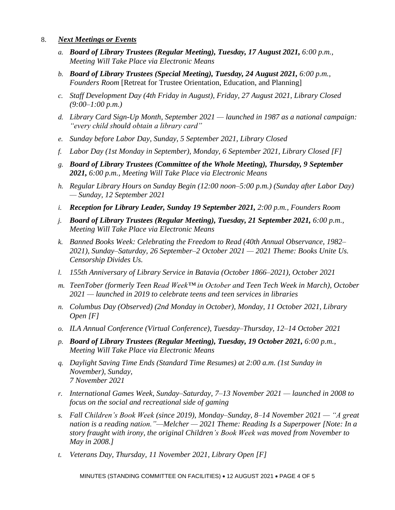### 8. *Next Meetings or Events*

- *a. Board of Library Trustees (Regular Meeting), Tuesday, 17 August 2021, 6:00 p.m., Meeting Will Take Place via Electronic Means*
- *b. Board of Library Trustees (Special Meeting), Tuesday, 24 August 2021, 6:00 p.m., Founders Room* [Retreat for Trustee Orientation, Education, and Planning]
- *c. Staff Development Day (4th Friday in August), Friday, 27 August 2021, Library Closed (9:00–1:00 p.m.)*
- *d. Library Card Sign-Up Month, September 2021 — launched in 1987 as a national campaign: "every child should obtain a library card"*
- *e. Sunday before Labor Day, Sunday, 5 September 2021, Library Closed*
- *f. Labor Day (1st Monday in September), Monday, 6 September 2021, Library Closed [F]*
- *g. Board of Library Trustees (Committee of the Whole Meeting), Thursday, 9 September 2021, 6:00 p.m., Meeting Will Take Place via Electronic Means*
- *h. Regular Library Hours on Sunday Begin (12:00 noon–5:00 p.m.) (Sunday after Labor Day) — Sunday, 12 September 2021*
- *i. Reception for Library Leader, Sunday 19 September 2021, 2:00 p.m., Founders Room*
- *j. Board of Library Trustees (Regular Meeting), Tuesday, 21 September 2021, 6:00 p.m., Meeting Will Take Place via Electronic Means*
- *k. Banned Books Week: Celebrating the Freedom to Read (40th Annual Observance, 1982– 2021), Sunday–Saturday, 26 September–2 October 2021 — 2021 Theme: Books Unite Us. Censorship Divides Us.*
- *l. 155th Anniversary of Library Service in Batavia (October 1866–2021), October 2021*
- *m. TeenTober (formerly Teen Read Week™ in October and Teen Tech Week in March), October 2021 — launched in 2019 to celebrate teens and teen services in libraries*
- *n. Columbus Day (Observed) (2nd Monday in October), Monday, 11 October 2021, Library Open [F]*
- *o. ILA Annual Conference (Virtual Conference), Tuesday–Thursday, 12–14 October 2021*
- *p. Board of Library Trustees (Regular Meeting), Tuesday, 19 October 2021, 6:00 p.m., Meeting Will Take Place via Electronic Means*
- *q. Daylight Saving Time Ends (Standard Time Resumes) at 2:00 a.m. (1st Sunday in November), Sunday, 7 November 2021*
- *r. International Games Week, Sunday–Saturday, 7–13 November 2021 — launched in 2008 to focus on the social and recreational side of gaming*
- *s. Fall Children's Book Week (since 2019), Monday–Sunday, 8–14 November 2021 — "A great nation is a reading nation."—Melcher — 2021 Theme: Reading Is a Superpower [Note: In a story fraught with irony, the original Children's Book Week was moved from November to May in 2008.]*
- *t. Veterans Day, Thursday, 11 November 2021, Library Open [F]*